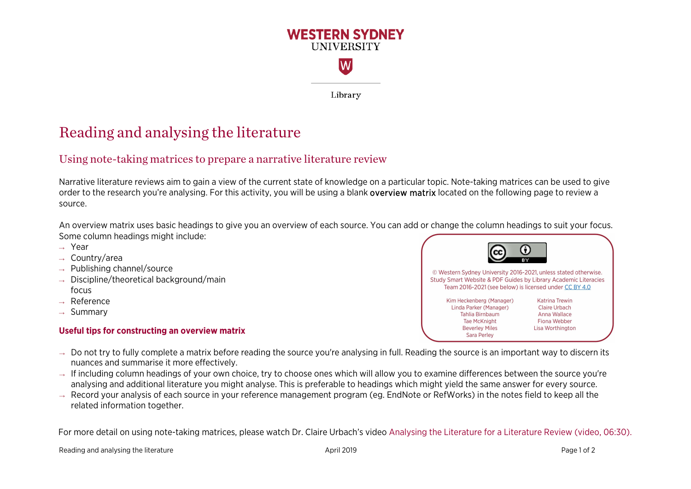

Library

## Reading and analysing the literature

## Using note-taking matrices to prepare a narrative literature review

Narrative literature reviews aim to gain a view of the current state of knowledge on a particular topic. Note-taking matrices can be used to give order to the research you're analysing. For this activity, you will be using a blank <mark>overview matrix</mark> located on the following page to review a source.

An overview matrix uses basic headings to give you an overview of each source. You can add or change the column headings to suit your focus.<br>Came as lumn has dinne might include: Some column headings might include:

- → Year
- → Country/area
- → Publishing channel/source
- $\rightarrow$  Discipline/theoretical background/main focus
- $\rightarrow$  Reference
- $\rightarrow$  Summary

## **Useful tips for constructing an overview matrix**

- © Western Sydney University 2016-2021, unless stated otherwise. Study Smart Website & PDF Guides by Library Academic Literacies Team 2016-2021 (see below) is licensed under CC BY 4.0 Kim Heckenberg (Manager) **Katrina Trewin** Linda Parker (Manager) **Claire Urbach** Tahlia Birnbaum Anna Wallace Tae McKnight **Fiona Webber Beverley Miles** Lisa Worthington **Sara Perley**
- $\rightarrow$  Do not try to fully complete a matrix before reading the source you're analysing in full. Reading the source is an important way to discern its nuances and summarise it more effectively.
- → If including column headings of your own choice, try to choose ones which will allow you to examine differences between the source you're analysing and additional literature you might analyse. This is preferable to headings which might yield the same answer for every source.
- $\rightarrow$  Record your analysis of each source in your reference management program (eg. EndNote or RefWorks) in the notes field to keep all the related information together.

For more detail on using note-taking matrices, please watch Dr. Claire Urbach's video [Analysing the Literature for a Literature Review](https://www.youtube.com/watch?v=oIon3cWYDKM&feature=youtu.be) (video, 06:30).

Reading and analysing the literature and the literature April 2019 **Page 1 of 2** and 2019 **Page 1 of 2** and 2019